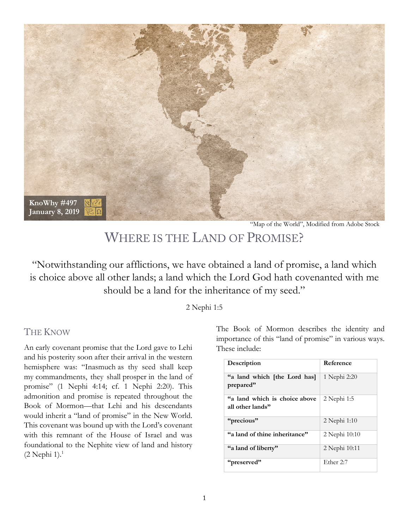

"Map of the World", Modified from Adobe Stock

# WHERE IS THE LAND OF PROMISE?

"Notwithstanding our afflictions, we have obtained a land of promise, a land which is choice above all other lands; a land which the Lord God hath covenanted with me should be a land for the inheritance of my seed."

2 Nephi 1:5

#### THE KNOW

An early covenant promise that the Lord gave to Lehi and his posterity soon after their arrival in the western hemisphere was: "Inasmuch as thy seed shall keep my commandments, they shall prosper in the land of promise" (1 Nephi 4:14; cf. 1 Nephi 2:20). This admonition and promise is repeated throughout the Book of Mormon—that Lehi and his descendants would inherit a "land of promise" in the New World. This covenant was bound up with the Lord's covenant with this remnant of the House of Israel and was foundational to the Nephite view of land and history (2 Nephi 1). 1

The Book of Mormon describes the identity and importance of this "land of promise" in various ways. These include:

| Description                                       | Reference     |
|---------------------------------------------------|---------------|
| "a land which [the Lord has]<br>prepared"         | 1 Nephi 2:20  |
| "a land which is choice above<br>all other lands" | 2 Nephi 1:5   |
| "precious"                                        | 2 Nephi 1:10  |
| "a land of thine inheritance"                     | 2 Nephi 10:10 |
| "a land of liberty"                               | 2 Nephi 10:11 |
| "preserved"                                       | Ether 2:7     |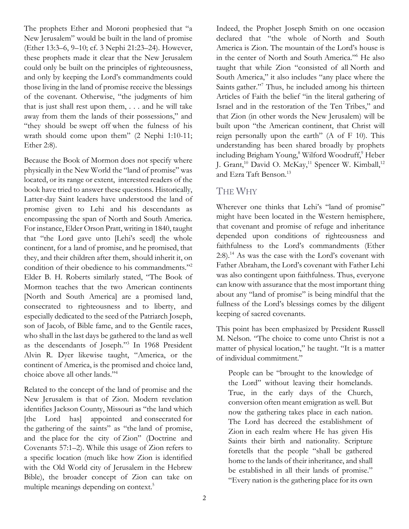The prophets Ether and Moroni prophesied that "a New Jerusalem" would be built in the land of promise (Ether 13:3–6, 9–10; cf. 3 Nephi 21:23–24). However, these prophets made it clear that the New Jerusalem could only be built on the principles of righteousness, and only by keeping the Lord's commandments could those living in the land of promise receive the blessings of the covenant. Otherwise, "the judgments of him that is just shall rest upon them, . . . and he will take away from them the lands of their possessions," and "they should be swept off when the fulness of his wrath should come upon them" (2 Nephi 1:10-11; Ether 2:8).

Because the Book of Mormon does not specify where physically in the New World the "land of promise" was located, or its range or extent, interested readers of the book have tried to answer these questions. Historically, Latter-day Saint leaders have understood the land of promise given to Lehi and his descendants as encompassing the span of North and South America. For instance, Elder Orson Pratt, writing in 1840, taught that "the Lord gave unto [Lehi's seed] the whole continent, for a land of promise, and he promised, that they, and their children after them, should inherit it, on condition of their obedience to his commandments."2 Elder B. H. Roberts similarly stated, "The Book of Mormon teaches that the two American continents [North and South America] are a promised land, consecrated to righteousness and to liberty, and especially dedicated to the seed of the Patriarch Joseph, son of Jacob, of Bible fame, and to the Gentile races, who shall in the last days be gathered to the land as well as the descendants of Joseph."3 In 1968 President Alvin R. Dyer likewise taught, "America, or the continent of America, is the promised and choice land, choice above all other lands."4

Related to the concept of the land of promise and the New Jerusalem is that of Zion. Modern revelation identifies Jackson County, Missouri as "the land which [the Lord has] appointed and consecrated for the gathering of the saints" as "the land of promise, and the place for the city of Zion" (Doctrine and Covenants 57:1–2). While this usage of Zion refers to a specific location (much like how Zion is identified with the Old World city of Jerusalem in the Hebrew Bible), the broader concept of Zion can take on multiple meanings depending on context.<sup>5</sup>

Indeed, the Prophet Joseph Smith on one occasion declared that "the whole of North and South America is Zion. The mountain of the Lord's house is in the center of North and South America."6 He also taught that while Zion "consisted of all North and South America," it also includes "any place where the Saints gather."<sup>7</sup> Thus, he included among his thirteen Articles of Faith the belief "in the literal gathering of Israel and in the restoration of the Ten Tribes," and that Zion (in other words the New Jerusalem) will be built upon "the American continent, that Christ will reign personally upon the earth" (A of F 10). This understanding has been shared broadly by prophets including Brigham Young,<sup>8</sup> Wilford Woodruff,<sup>9</sup> Heber J. Grant,<sup>10</sup> David O. McKay,<sup>11</sup> Spencer W. Kimball,<sup>12</sup> and Ezra Taft Benson.<sup>13</sup>

### THE WHY

Wherever one thinks that Lehi's "land of promise" might have been located in the Western hemisphere, that covenant and promise of refuge and inheritance depended upon conditions of righteousness and faithfulness to the Lord's commandments (Ether  $2:8$ ).<sup>14</sup> As was the case with the Lord's covenant with Father Abraham, the Lord's covenant with Father Lehi was also contingent upon faithfulness. Thus, everyone can know with assurance that the most important thing about any "land of promise" is being mindful that the fullness of the Lord's blessings comes by the diligent keeping of sacred covenants.

This point has been emphasized by President Russell M. Nelson. "The choice to come unto Christ is not a matter of physical location," he taught. "It is a matter of individual commitment."

People can be "brought to the knowledge of the Lord" without leaving their homelands. True, in the early days of the Church, conversion often meant emigration as well. But now the gathering takes place in each nation. The Lord has decreed the establishment of Zion in each realm where He has given His Saints their birth and nationality. Scripture foretells that the people "shall be gathered home to the lands of their inheritance, and shall be established in all their lands of promise." "Every nation is the gathering place for its own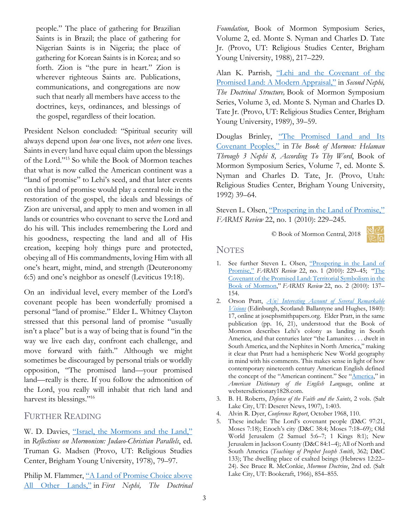people." The place of gathering for Brazilian Saints is in Brazil; the place of gathering for Nigerian Saints is in Nigeria; the place of gathering for Korean Saints is in Korea; and so forth. Zion is "the pure in heart." Zion is wherever righteous Saints are. Publications, communications, and congregations are now such that nearly all members have access to the doctrines, keys, ordinances, and blessings of the gospel, regardless of their location.

President Nelson concluded: "Spiritual security will always depend upon *how* one lives, not *where* one lives. Saints in every land have equal claim upon the blessings of the Lord."15 So while the Book of Mormon teaches that what is now called the American continent was a "land of promise" to Lehi's seed, and that later events on this land of promise would play a central role in the restoration of the gospel, the ideals and blessings of Zion are universal, and apply to men and women in all lands or countries who covenant to serve the Lord and do his will. This includes remembering the Lord and his goodness, respecting the land and all of His creation, keeping holy things pure and protected, obeying all of His commandments, loving Him with all one's heart, might, mind, and strength (Deuteronomy 6:5) and one's neighbor as oneself (Leviticus 19:18).

On an individual level, every member of the Lord's covenant people has been wonderfully promised a personal "land of promise." Elder L. Whitney Clayton stressed that this personal land of promise "usually isn't a place" but is a way of being that is found "in the way we live each day, confront each challenge, and move forward with faith." Although we might sometimes be discouraged by personal trials or worldly opposition, "The promised land—your promised land—really is there. If you follow the admonition of the Lord, you really will inhabit that rich land and harvest its blessings."<sup>16</sup>

## FURTHER READING

W. D. Davies, ["Israel, the Mormons and the Land,"](https://rsc.byu.edu/archived/reflections-mormonism-judaeo-christian-parallels/6-israel-mormons-and-land) in *Reflections on Mormonism: Judaeo-Christian Parallels*, ed. Truman G. Madsen (Provo, UT: Religious Studies Center, Brigham Young University, 1978), 79–97.

Philip M. Flammer, ["A Land of Promise Choice above](https://archive.bookofmormoncentral.org/content/land-promise-choice-above-all-other-lands)  [All Other Lands,"](https://archive.bookofmormoncentral.org/content/land-promise-choice-above-all-other-lands) in *First Nephi, The Doctrinal* 

*Foundation*, Book of Mormon Symposium Series, Volume 2, ed. Monte S. Nyman and Charles D. Tate Jr. (Provo, UT: Religious Studies Center, Brigham Young University, 1988), 217–229.

Alan K. Parrish, ["Lehi and the Covenant of the](https://archive.bookofmormoncentral.org/content/lehi-and-covenant-promised-land-modern-appraisal)  [Promised Land: A Modern Appraisal,"](https://archive.bookofmormoncentral.org/content/lehi-and-covenant-promised-land-modern-appraisal) in *Second Nephi, The Doctrinal Structure,* Book of Mormon Symposium Series, Volume 3, ed. Monte S. Nyman and Charles D. Tate Jr. (Provo, UT: Religious Studies Center, Brigham Young University, 1989), 39–59.

Douglas Brinley, ["The Promised Land and Its](https://archive.bookofmormoncentral.org/content/promised-land-and-its-covenant-peoples)  [Covenant Peoples,"](https://archive.bookofmormoncentral.org/content/promised-land-and-its-covenant-peoples) in *The Book of Mormon: Helaman Through 3 Nephi 8, According To Thy Word*, Book of Mormon Symposium Series, Volume 7, ed. Monte S. Nyman and Charles D. Tate, Jr. (Provo, Utah: Religious Studies Center, Brigham Young University, 1992) 39–64.

Steven L. Olsen, ["Prospering in the Land of Promise,"](https://archive.bookofmormoncentral.org/content/prospering-land-promise) *FARMS Review* 22, no. 1 (2010): 229–245.

© Book of Mormon Central, 2018



#### **NOTES**

- 1. See further Steven L. Olsen, "Prospering in the Land of [Promise,"](https://archive.bookofmormoncentral.org/content/prospering-land-promise) *FARMS Review* 22, no. 1 (2010): 229–45; ["The](https://archive.bookofmormoncentral.org/content/covenant-promised-land-territorial-symbolism-book-mormon)  [Covenant of the Promised Land: Territorial Symbolism in the](https://archive.bookofmormoncentral.org/content/covenant-promised-land-territorial-symbolism-book-mormon)  [Book of Mormon,](https://archive.bookofmormoncentral.org/content/covenant-promised-land-territorial-symbolism-book-mormon)" *FARMS Review* 22, no. 2 (2010): 137– 154.
- 2. Orson Pratt, *[A\[n\] Interesting Account of Several Remarkable](https://www.josephsmithpapers.org/paper-summary/appendix-orson-pratt-an-interesting-account-of-several-remarkable-visions-1840/1)  [Visions](https://www.josephsmithpapers.org/paper-summary/appendix-orson-pratt-an-interesting-account-of-several-remarkable-visions-1840/1)* (Edinburgh, Scotland: Ballantyne and Hughes, 1840): 17, online at josephsmithpapers.org. Elder Pratt, in the same publication (pp. 16, 21), understood that the Book of Mormon describes Lehi's colony as landing in South America, and that centuries later "the Lamanites . . . dwelt in South America, and the Nephites in North America," making it clear that Pratt had a hemispheric New World geography in mind with his comments. This makes sense in light of how contemporary nineteenth century American English defined the concept of the "American continent." See ["America,"](http://webstersdictionary1828.com/Dictionary/america) in *American Dictionary of the English Language*, online at webstersdictionary1828.com.
- 3. B. H. Roberts, *Defense of the Faith and the Saints*, 2 vols. (Salt Lake City, UT: Deseret News, 1907), 1:403.
- 4. Alvin R. Dyer, *Conference Report*, October 1968, 110.
- 5. These include: The Lord's covenant people (D&C 97:21, Moses 7:18); Enoch's city (D&C 38:4; Moses 7:18–69); Old World Jerusalem (2 Samuel 5:6–7; 1 Kings 8:1); New Jerusalem in Jackson County (D&C 84:1–4); All of North and South America (*Teachings of Prophet Joseph Smith*, 362; D&C 133); The dwelling place of exalted beings (Hebrews 12:22– 24). See Bruce R. McConkie, *Mormon Doctrine*, 2nd ed. (Salt Lake City, UT: Bookcraft, 1966), 854–855.